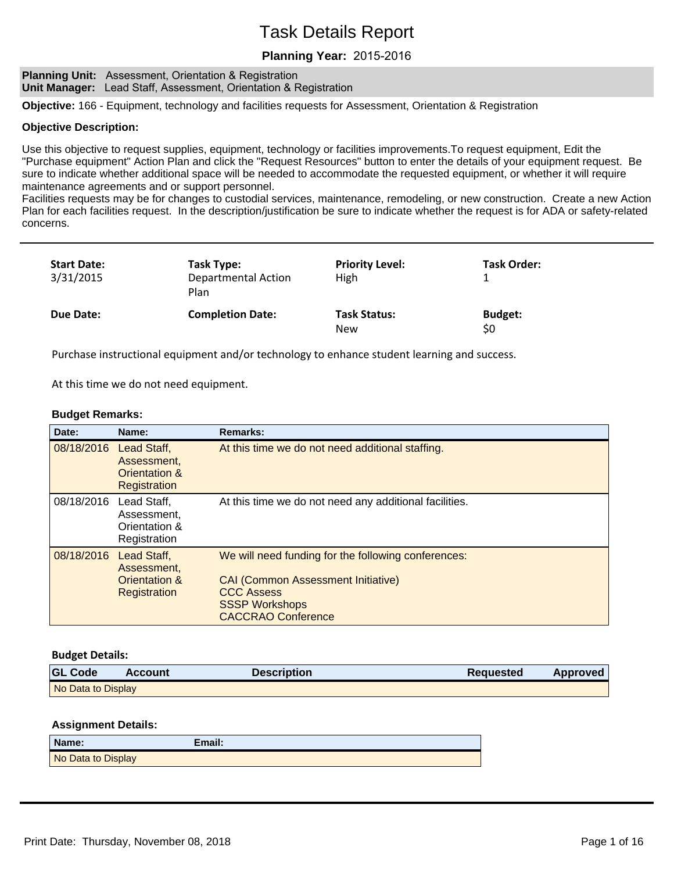## **Planning Year:**

**Planning Unit:** Assessment, Orientation & Registration **Unit Manager:** Lead Staff, Assessment, Orientation & Registration

**Objective:** 166 - Equipment, technology and facilities requests for Assessment, Orientation & Registration

#### **Objective Description:**

Use this objective to request supplies, equipment, technology or facilities improvements.To request equipment, Edit the "Purchase equipment" Action Plan and click the "Request Resources" button to enter the details of your equipment request. Be sure to indicate whether additional space will be needed to accommodate the requested equipment, or whether it will require maintenance agreements and or support personnel.

Facilities requests may be for changes to custodial services, maintenance, remodeling, or new construction. Create a new Action Plan for each facilities request. In the description/justification be sure to indicate whether the request is for ADA or safety-related concerns.

| <b>Start Date:</b><br>3/31/2015 | Task Type:<br><b>Departmental Action</b><br>Plan | <b>Priority Level:</b><br><b>High</b> | <b>Task Order:</b>    |
|---------------------------------|--------------------------------------------------|---------------------------------------|-----------------------|
| Due Date:                       | <b>Completion Date:</b>                          | <b>Task Status:</b><br><b>New</b>     | <b>Budget:</b><br>\$0 |

Purchase instructional equipment and/or technology to enhance student learning and success.

At this time we do not need equipment.

#### **Budget Remarks:**

| Date:      | Name:                                                       | <b>Remarks:</b>                                                                                                                                                             |
|------------|-------------------------------------------------------------|-----------------------------------------------------------------------------------------------------------------------------------------------------------------------------|
| 08/18/2016 | Lead Staff,<br>Assessment.<br>Orientation &<br>Registration | At this time we do not need additional staffing.                                                                                                                            |
| 08/18/2016 | Lead Staff,<br>Assessment.<br>Orientation &<br>Registration | At this time we do not need any additional facilities.                                                                                                                      |
| 08/18/2016 | Lead Staff,<br>Assessment,<br>Orientation &<br>Registration | We will need funding for the following conferences:<br><b>CAI (Common Assessment Initiative)</b><br><b>CCC Assess</b><br><b>SSSP Workshops</b><br><b>CACCRAO Conference</b> |

#### **Budget Details:**

| <b>GL Code</b>     | Account | <b>Description</b> | <b>Requested</b> | Approved |
|--------------------|---------|--------------------|------------------|----------|
| No Data to Display |         |                    |                  |          |

| Name:              | Email: |
|--------------------|--------|
| No Data to Display |        |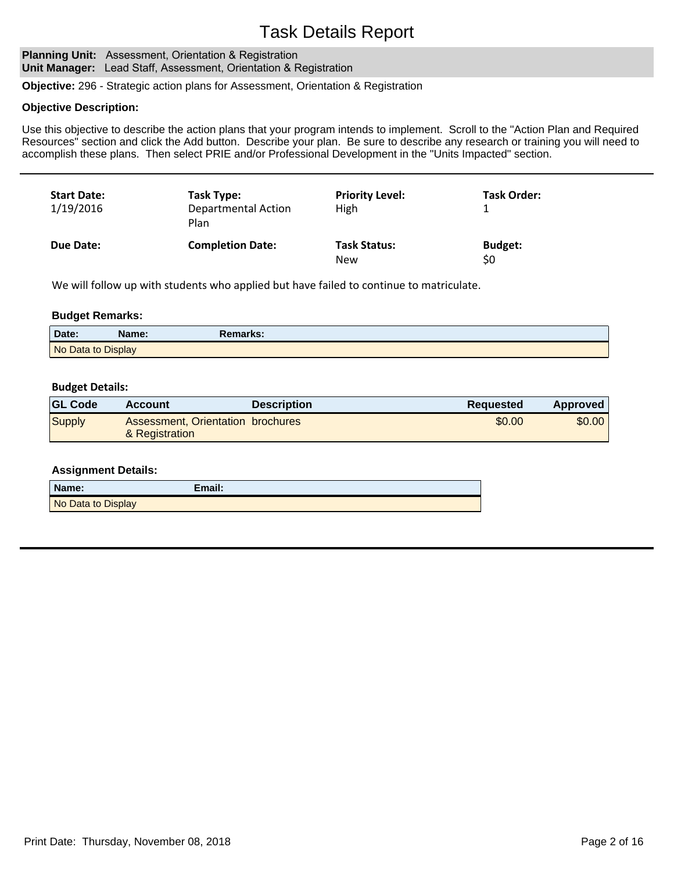#### **Planning Unit: Assessment, Orientation & Registration Unit Manager:** Lead Staff, Assessment, Orientation & Registration

**Objective:** 296 - Strategic action plans for Assessment, Orientation & Registration

#### **Objective Description:**

Use this objective to describe the action plans that your program intends to implement. Scroll to the "Action Plan and Required Resources" section and click the Add button. Describe your plan. Be sure to describe any research or training you will need to accomplish these plans. Then select PRIE and/or Professional Development in the "Units Impacted" section.

| <b>Start Date:</b><br>1/19/2016 | Task Type:<br><b>Departmental Action</b><br>Plan | <b>Priority Level:</b><br>High    | <b>Task Order:</b>    |
|---------------------------------|--------------------------------------------------|-----------------------------------|-----------------------|
| Due Date:                       | <b>Completion Date:</b>                          | <b>Task Status:</b><br><b>New</b> | <b>Budget:</b><br>\$0 |

We will follow up with students who applied but have failed to continue to matriculate.

#### **Budget Remarks:**

| Date:              | Name: | Remarks: |  |
|--------------------|-------|----------|--|
| No Data to Display |       |          |  |

#### **Budget Details:**

| <b>GL Code</b> | Account                           | <b>Description</b> | Reguested | Approved |
|----------------|-----------------------------------|--------------------|-----------|----------|
| Supply         | Assessment, Orientation brochures |                    | \$0.00    | \$0.00   |
|                | & Registration                    |                    |           |          |

| Name:              | Email: |
|--------------------|--------|
| No Data to Display |        |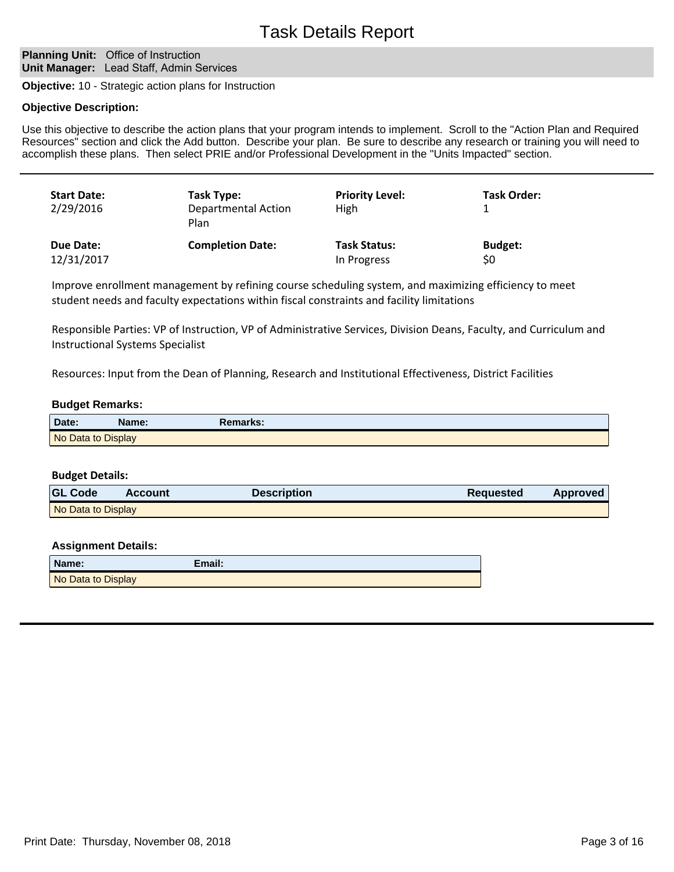## **Planning Unit: Office of Instruction Unit Manager:** Lead Staff, Admin Services

**Objective:** 10 - Strategic action plans for Instruction

#### **Objective Description:**

Use this objective to describe the action plans that your program intends to implement. Scroll to the "Action Plan and Required Resources" section and click the Add button. Describe your plan. Be sure to describe any research or training you will need to accomplish these plans. Then select PRIE and/or Professional Development in the "Units Impacted" section.

| <b>Start Date:</b><br>2/29/2016 | Task Type:<br><b>Departmental Action</b><br>Plan | <b>Priority Level:</b><br>High | <b>Task Order:</b> |
|---------------------------------|--------------------------------------------------|--------------------------------|--------------------|
| Due Date:                       | <b>Completion Date:</b>                          | <b>Task Status:</b>            | <b>Budget:</b>     |
| 12/31/2017                      |                                                  | In Progress                    | \$0                |

Improve enrollment management by refining course scheduling system, and maximizing efficiency to meet student needs and faculty expectations within fiscal constraints and facility limitations

Responsible Parties: VP of Instruction, VP of Administrative Services, Division Deans, Faculty, and Curriculum and Instructional Systems Specialist

Resources: Input from the Dean of Planning, Research and Institutional Effectiveness, District Facilities

#### **Budget Remarks:**

| Date:              | Name: | Remarks: |
|--------------------|-------|----------|
| No Data to Display |       |          |

#### **Budget Details:**

| <b>GL Code</b>     | <b>Account</b> | <b>Description</b> | Requested | Approved |
|--------------------|----------------|--------------------|-----------|----------|
| No Data to Display |                |                    |           |          |

| Name:              | Email: |
|--------------------|--------|
| No Data to Display |        |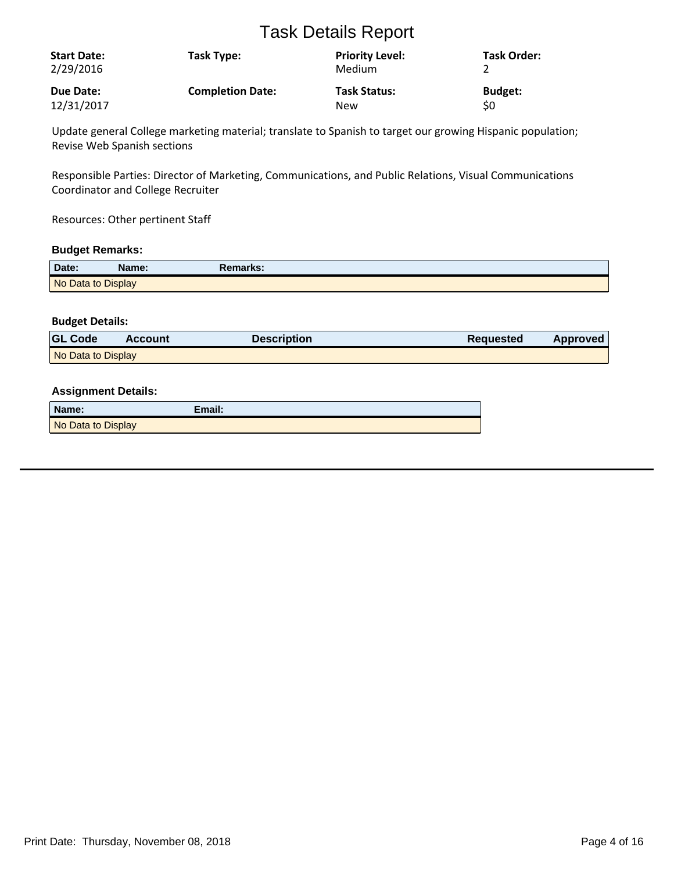| <b>Start Date:</b><br>2/29/2016 | Task Type:              | <b>Priority Level:</b><br><b>Medium</b> | Task Order:    |
|---------------------------------|-------------------------|-----------------------------------------|----------------|
| Due Date:                       | <b>Completion Date:</b> | <b>Task Status:</b>                     | <b>Budget:</b> |
| 12/31/2017                      |                         | <b>New</b>                              | \$0            |

Update general College marketing material; translate to Spanish to target our growing Hispanic population; Revise Web Spanish sections

Responsible Parties: Director of Marketing, Communications, and Public Relations, Visual Communications Coordinator and College Recruiter

Resources: Other pertinent Staff

## **Budget Remarks:**

| Date:              | Name: | Remarks: |
|--------------------|-------|----------|
| No Data to Display |       |          |

## **Budget Details:**

| <b>GL Code</b>     | Account | <b>Description</b> | <b>Requested</b> | Approved |
|--------------------|---------|--------------------|------------------|----------|
| No Data to Display |         |                    |                  |          |

| Name:              | Email: |
|--------------------|--------|
| No Data to Display |        |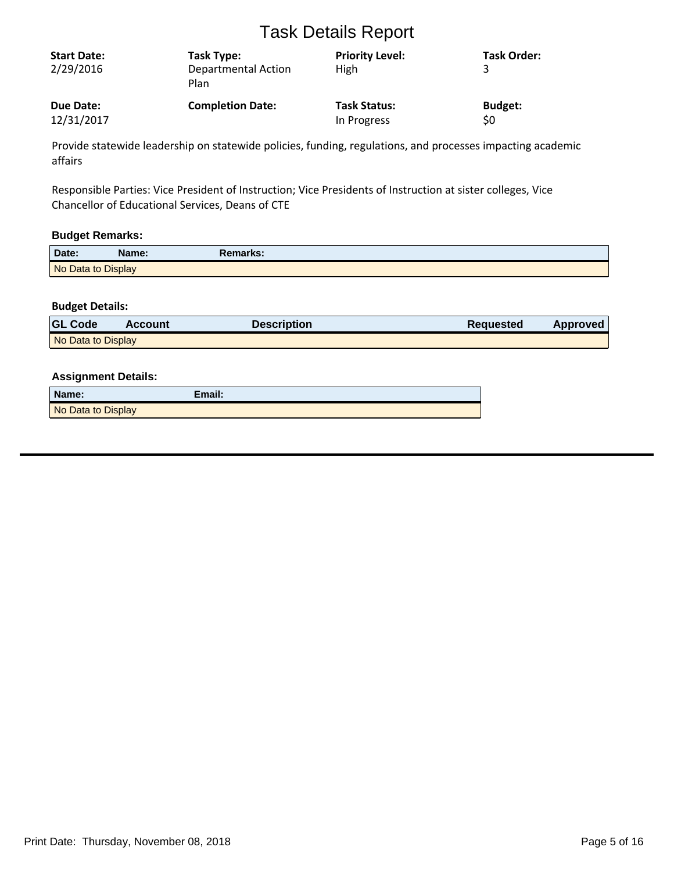| <b>Start Date:</b><br>2/29/2016 | Task Type:<br><b>Departmental Action</b><br>Plan | <b>Priority Level:</b><br>High | <b>Task Order:</b> |
|---------------------------------|--------------------------------------------------|--------------------------------|--------------------|
| Due Date:                       | <b>Completion Date:</b>                          | <b>Task Status:</b>            | <b>Budget:</b>     |
| 12/31/2017                      |                                                  | In Progress                    | \$0                |

Provide statewide leadership on statewide policies, funding, regulations, and processes impacting academic affairs

Responsible Parties: Vice President of Instruction; Vice Presidents of Instruction at sister colleges, Vice Chancellor of Educational Services, Deans of CTE

## **Budget Remarks:**

| Date:              | Name: | Remarks: |  |
|--------------------|-------|----------|--|
| No Data to Display |       |          |  |

## **Budget Details:**

| <b>GL Code</b>     | <b>Account</b> | <b>Description</b> | Requested | Approved |
|--------------------|----------------|--------------------|-----------|----------|
| No Data to Display |                |                    |           |          |

| Name:              | Email: |
|--------------------|--------|
| No Data to Display |        |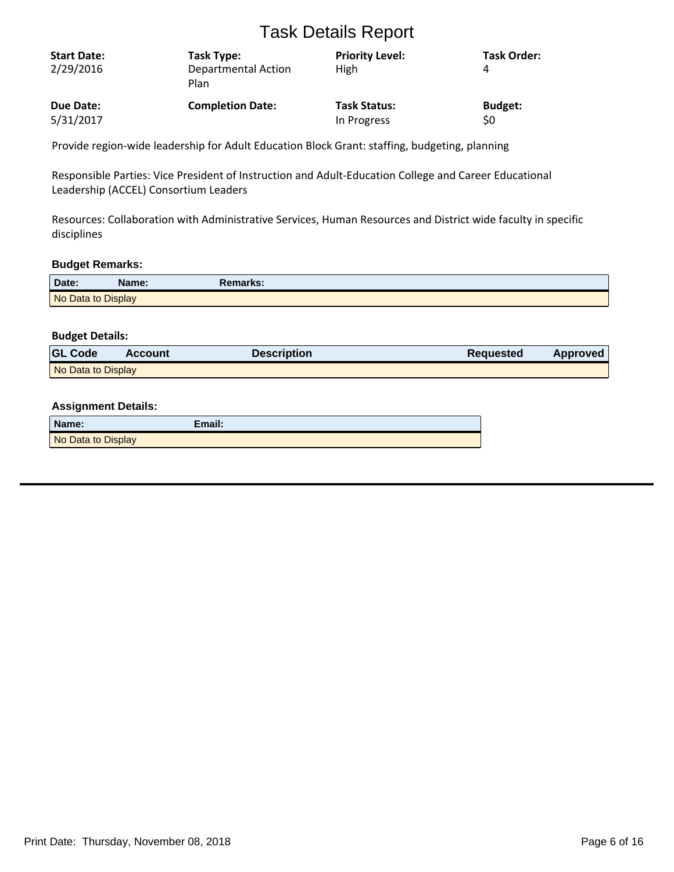| <b>Start Date:</b><br>2/29/2016 | Task Type:<br>Departmental Action<br>Plan | <b>Priority Level:</b><br>High | <b>Task Order:</b><br>4 |
|---------------------------------|-------------------------------------------|--------------------------------|-------------------------|
| Due Date:                       | <b>Completion Date:</b>                   | <b>Task Status:</b>            | <b>Budget:</b>          |
| 5/31/2017                       |                                           | In Progress                    | \$0                     |

Provide region-wide leadership for Adult Education Block Grant: staffing, budgeting, planning

Responsible Parties: Vice President of Instruction and Adult-Education College and Career Educational Leadership (ACCEL) Consortium Leaders

Resources: Collaboration with Administrative Services, Human Resources and District wide faculty in specific disciplines

#### **Budget Remarks:**

| Date:              | <b>Name:</b> | Remarks: |
|--------------------|--------------|----------|
| No Data to Display |              |          |

## **Budget Details:**

| <b>GL Code</b>     | <b>Account</b> | <b>Description</b> | <b>Requested</b> | <b>Approved</b> |
|--------------------|----------------|--------------------|------------------|-----------------|
| No Data to Display |                |                    |                  |                 |

| Name:              | Email: |
|--------------------|--------|
| No Data to Display |        |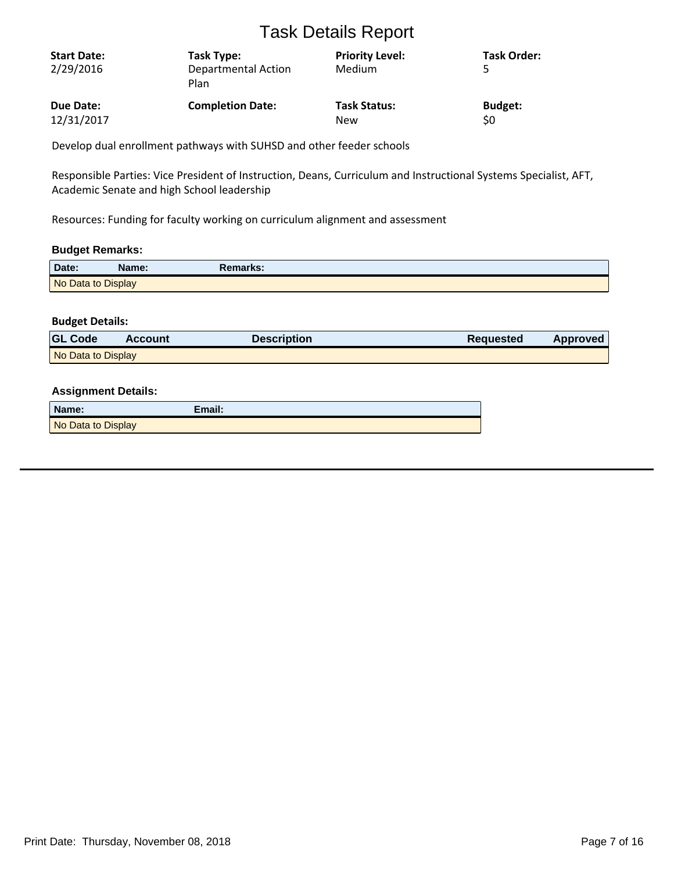| <b>Start Date:</b><br>2/29/2016 | Task Type:<br><b>Departmental Action</b><br>Plan | <b>Priority Level:</b><br>Medium | <b>Task Order:</b> |
|---------------------------------|--------------------------------------------------|----------------------------------|--------------------|
| Due Date:                       | <b>Completion Date:</b>                          | <b>Task Status:</b>              | <b>Budget:</b>     |
| 12/31/2017                      |                                                  | New                              | \$0                |

Develop dual enrollment pathways with SUHSD and other feeder schools

Responsible Parties: Vice President of Instruction, Deans, Curriculum and Instructional Systems Specialist, AFT, Academic Senate and high School leadership

Resources: Funding for faculty working on curriculum alignment and assessment

## **Budget Remarks:**

| Date:              | Name: | Remarks: |
|--------------------|-------|----------|
| No Data to Display |       |          |

## **Budget Details:**

| <b>GL Code</b>     | Account | Description | <b>Requested</b> | Approved |
|--------------------|---------|-------------|------------------|----------|
| No Data to Display |         |             |                  |          |

| Name:              | Email: |
|--------------------|--------|
| No Data to Display |        |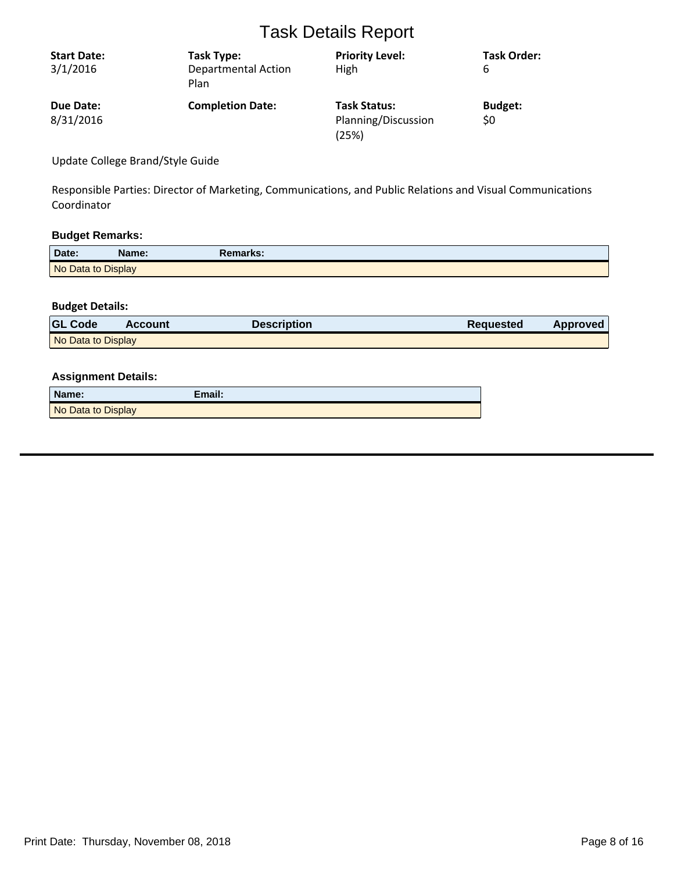| <b>Start Date:</b><br>3/1/2016 | Task Type:<br><b>Departmental Action</b><br>Plan | <b>Priority Level:</b><br>High                      | <b>Task Order:</b><br>6 |
|--------------------------------|--------------------------------------------------|-----------------------------------------------------|-------------------------|
| Due Date:<br>8/31/2016         | <b>Completion Date:</b>                          | <b>Task Status:</b><br>Planning/Discussion<br>(25%) | <b>Budget:</b><br>\$0   |

Update College Brand/Style Guide

Responsible Parties: Director of Marketing, Communications, and Public Relations and Visual Communications Coordinator

## **Budget Remarks:**

| Date:              | Name: | Remarks: |  |
|--------------------|-------|----------|--|
| No Data to Display |       |          |  |

## **Budget Details:**

| <b>GL Code</b>     | <b>Account</b> | <b>Description</b> | Requested | Approved |
|--------------------|----------------|--------------------|-----------|----------|
| No Data to Display |                |                    |           |          |

| Name:              | Email: |
|--------------------|--------|
| No Data to Display |        |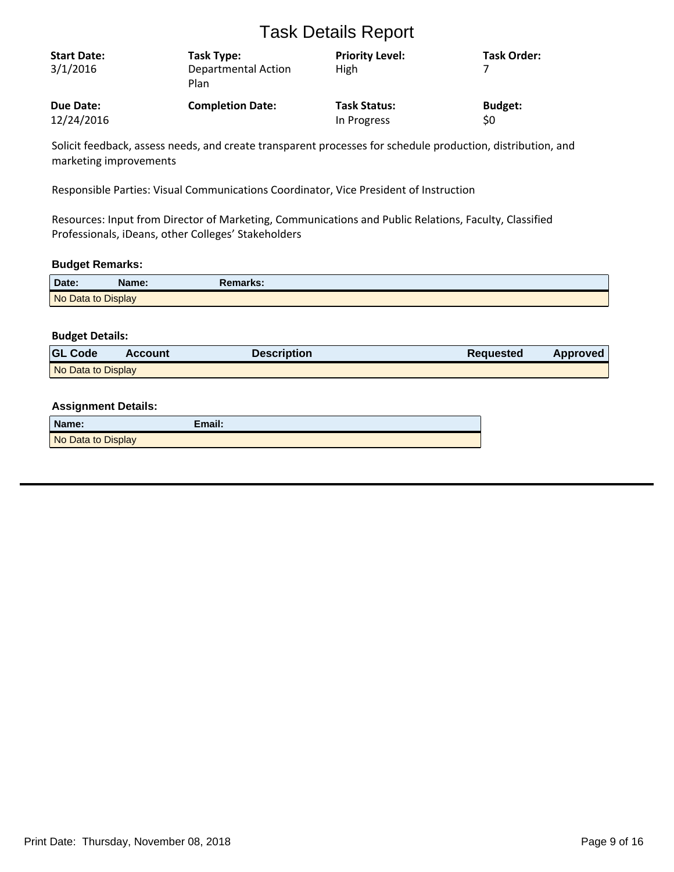| <b>Start Date:</b><br>3/1/2016 | Task Type:<br><b>Departmental Action</b><br>Plan | <b>Priority Level:</b><br><b>High</b> | Task Order:    |
|--------------------------------|--------------------------------------------------|---------------------------------------|----------------|
| Due Date:                      | <b>Completion Date:</b>                          | <b>Task Status:</b>                   | <b>Budget:</b> |
| 12/24/2016                     |                                                  | In Progress                           | \$0            |

Solicit feedback, assess needs, and create transparent processes for schedule production, distribution, and marketing improvements

Responsible Parties: Visual Communications Coordinator, Vice President of Instruction

Resources: Input from Director of Marketing, Communications and Public Relations, Faculty, Classified Professionals, iDeans, other Colleges' Stakeholders

## **Budget Remarks:**

| Date:              | Name: | Remarks: |  |
|--------------------|-------|----------|--|
| No Data to Display |       |          |  |

## **Budget Details:**

| <b>GL Code</b>     | <b>Account</b> | <b>Description</b> | <b>Requested</b> | <b>Approved</b> |
|--------------------|----------------|--------------------|------------------|-----------------|
| No Data to Display |                |                    |                  |                 |

| Name:              | Email: |
|--------------------|--------|
| No Data to Display |        |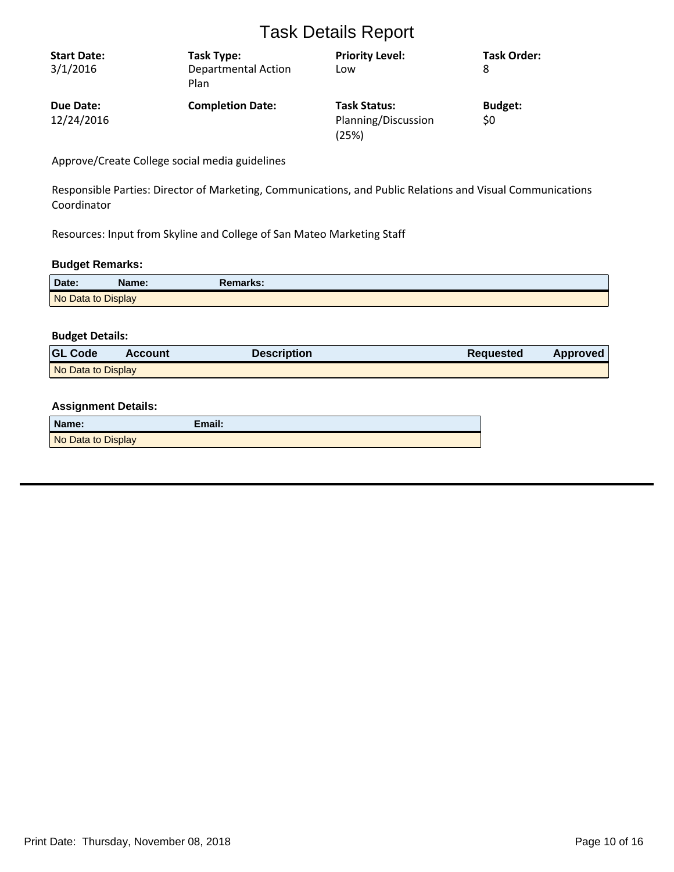| <b>Start Date:</b> | Task Type:                         | <b>Priority Level:</b>       | <b>Task Order:</b> |
|--------------------|------------------------------------|------------------------------|--------------------|
| 3/1/2016           | <b>Departmental Action</b><br>Plan | Low                          | 8                  |
| Due Date:          | <b>Completion Date:</b>            | <b>Task Status:</b>          | <b>Budget:</b>     |
| 12/24/2016         |                                    | Planning/Discussion<br>(25%) | \$0                |

Approve/Create College social media guidelines

Responsible Parties: Director of Marketing, Communications, and Public Relations and Visual Communications Coordinator

Resources: Input from Skyline and College of San Mateo Marketing Staff

## **Budget Remarks:**

| Date:              | Name: | Remarks: |
|--------------------|-------|----------|
| No Data to Display |       |          |

## **Budget Details:**

| <b>GL Code</b>     | <b>Account</b> | <b>Description</b> | <b>Requested</b> | <b>Approved</b> |
|--------------------|----------------|--------------------|------------------|-----------------|
| No Data to Display |                |                    |                  |                 |

| Name:              | Email: |
|--------------------|--------|
| No Data to Display |        |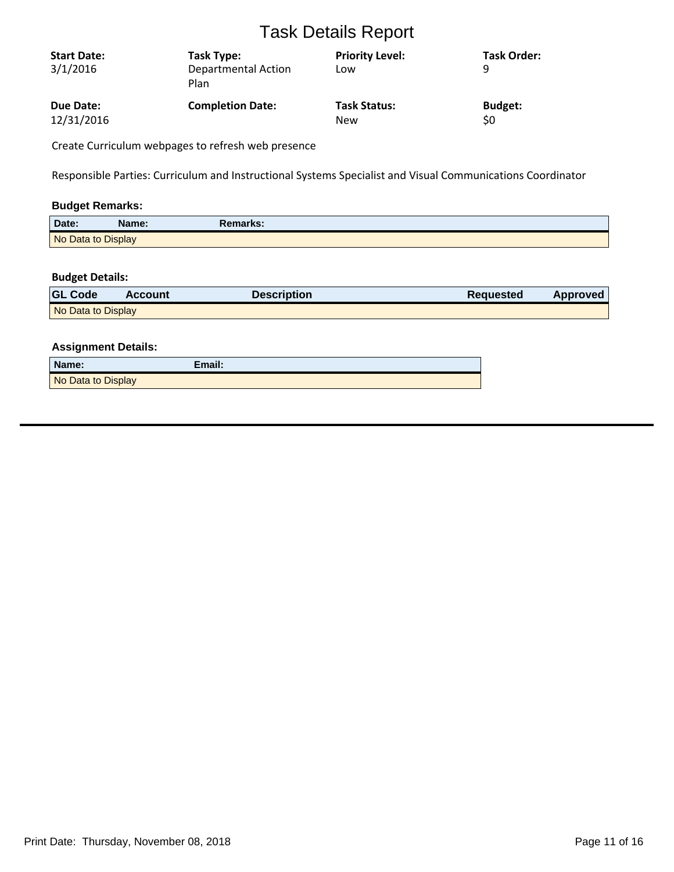| <b>Start Date:</b><br>3/1/2016 | Task Type:<br><b>Departmental Action</b><br>Plan | <b>Priority Level:</b><br>Low | <b>Task Order:</b><br>q |
|--------------------------------|--------------------------------------------------|-------------------------------|-------------------------|
| Due Date:                      | <b>Completion Date:</b>                          | <b>Task Status:</b>           | <b>Budget:</b>          |
| 12/31/2016                     |                                                  | <b>New</b>                    | \$0                     |

Create Curriculum webpages to refresh web presence

Responsible Parties: Curriculum and Instructional Systems Specialist and Visual Communications Coordinator

## **Budget Remarks:**

| Date:              | Name: | Remarks: |  |
|--------------------|-------|----------|--|
| No Data to Display |       |          |  |

## **Budget Details:**

| <b>GL Code</b>     | <b>Account</b> | <b>Description</b> | Requested | Approved |
|--------------------|----------------|--------------------|-----------|----------|
| No Data to Display |                |                    |           |          |

| Name:              | Email: |
|--------------------|--------|
| No Data to Display |        |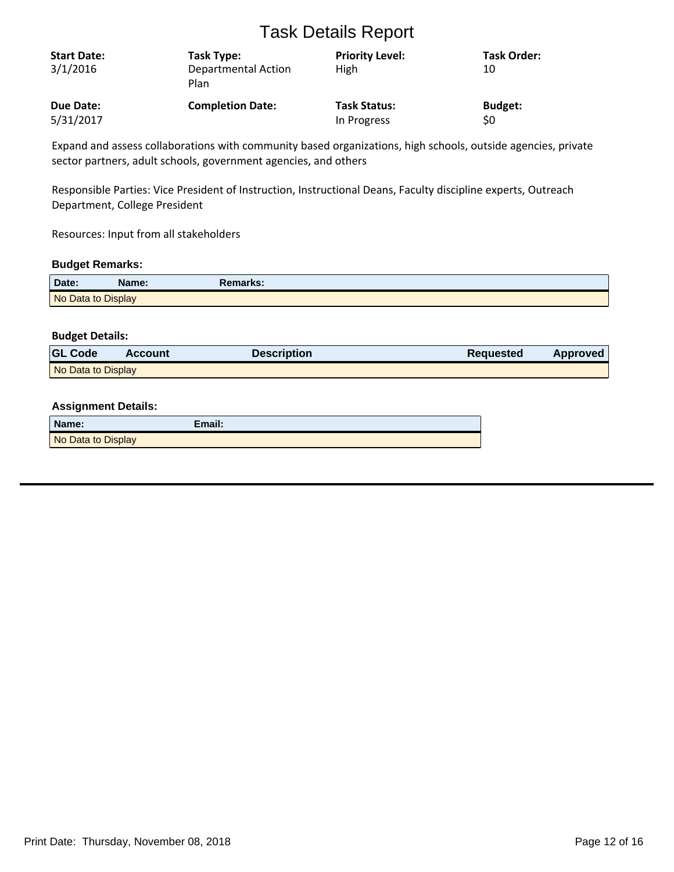| <b>Start Date:</b><br>3/1/2016 | Task Type:<br><b>Departmental Action</b><br>Plan | <b>Priority Level:</b><br>High | <b>Task Order:</b><br>10 |
|--------------------------------|--------------------------------------------------|--------------------------------|--------------------------|
| Due Date:                      | <b>Completion Date:</b>                          | <b>Task Status:</b>            | <b>Budget:</b>           |
| 5/31/2017                      |                                                  | In Progress                    | \$0                      |

Expand and assess collaborations with community based organizations, high schools, outside agencies, private sector partners, adult schools, government agencies, and others

Responsible Parties: Vice President of Instruction, Instructional Deans, Faculty discipline experts, Outreach Department, College President

Resources: Input from all stakeholders

## **Budget Remarks:**

| Date:              | Name: | <b>Remarks:</b> |
|--------------------|-------|-----------------|
| No Data to Display |       |                 |

## **Budget Details:**

| <b>GL Code</b>     | <b>Account</b> | <b>Description</b> | <b>Requested</b> | <b>Approved</b> |
|--------------------|----------------|--------------------|------------------|-----------------|
| No Data to Display |                |                    |                  |                 |

| Name:              | Email: |
|--------------------|--------|
| No Data to Display |        |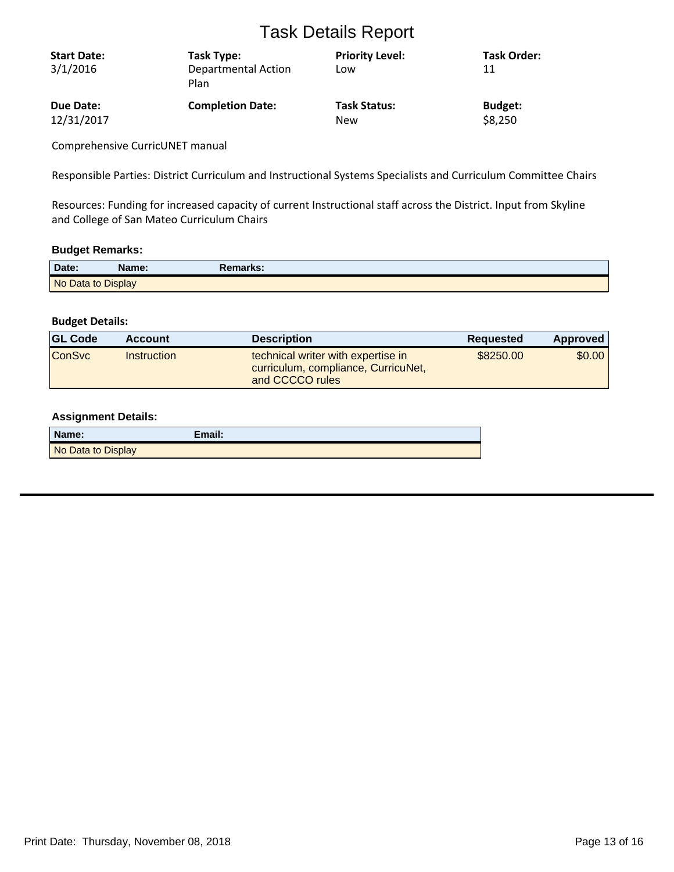| <b>Start Date:</b><br>3/1/2016 | Task Type:<br><b>Departmental Action</b><br>Plan | <b>Priority Level:</b><br>Low | <b>Task Order:</b><br>11 |
|--------------------------------|--------------------------------------------------|-------------------------------|--------------------------|
| Due Date:                      | <b>Completion Date:</b>                          | <b>Task Status:</b>           | <b>Budget:</b>           |
| 12/31/2017                     |                                                  | New                           | \$8,250                  |

Comprehensive CurricUNET manual

Responsible Parties: District Curriculum and Instructional Systems Specialists and Curriculum Committee Chairs

Resources: Funding for increased capacity of current Instructional staff across the District. Input from Skyline and College of San Mateo Curriculum Chairs

#### **Budget Remarks:**

| Date:              | Name: | Remarks: |  |
|--------------------|-------|----------|--|
| No Data to Display |       |          |  |

## **Budget Details:**

| <b>GL Code</b> | <b>Account</b> | <b>Description</b>                                                                           | Requested | Approved |
|----------------|----------------|----------------------------------------------------------------------------------------------|-----------|----------|
| <b>ConSvc</b>  | Instruction    | technical writer with expertise in<br>curriculum, compliance, CurricuNet,<br>and CCCCO rules | \$8250.00 | \$0.00   |

| Name:              | $E$ mail: |
|--------------------|-----------|
| No Data to Display |           |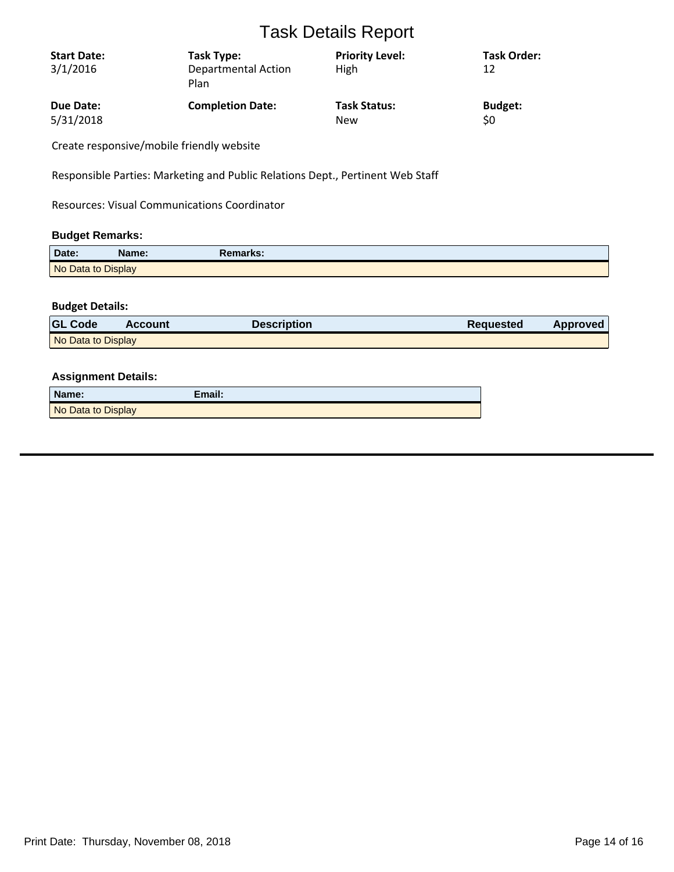| <b>Start Date:</b><br>3/1/2016 | Task Type:<br>Departmental Action<br>Plan | <b>Priority Level:</b><br>High | <b>Task Order:</b><br>12 |
|--------------------------------|-------------------------------------------|--------------------------------|--------------------------|
| Due Date:                      | <b>Completion Date:</b>                   | <b>Task Status:</b>            | <b>Budget:</b>           |
| 5/31/2018                      |                                           | <b>New</b>                     | \$0                      |

Create responsive/mobile friendly website

Responsible Parties: Marketing and Public Relations Dept., Pertinent Web Staff

Resources: Visual Communications Coordinator

## **Budget Remarks:**

| Date:              | Name: | Remarks: |  |
|--------------------|-------|----------|--|
| No Data to Display |       |          |  |

## **Budget Details:**

| <b>GL Code</b>     | <b>Account</b> | Description | <b>Requested</b> | Approved |
|--------------------|----------------|-------------|------------------|----------|
| No Data to Display |                |             |                  |          |

| Name:              | Email: |
|--------------------|--------|
| No Data to Display |        |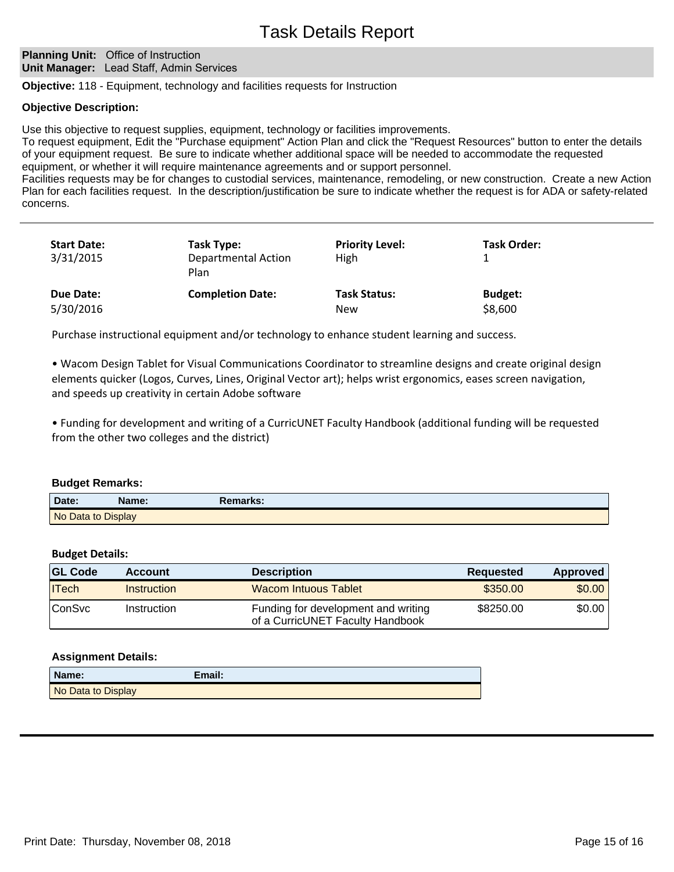#### **Planning Unit: Office of Instruction Unit Manager:** Lead Staff, Admin Services

**Objective:** 118 - Equipment, technology and facilities requests for Instruction

## **Objective Description:**

Use this objective to request supplies, equipment, technology or facilities improvements.

To request equipment, Edit the "Purchase equipment" Action Plan and click the "Request Resources" button to enter the details of your equipment request. Be sure to indicate whether additional space will be needed to accommodate the requested equipment, or whether it will require maintenance agreements and or support personnel.

Facilities requests may be for changes to custodial services, maintenance, remodeling, or new construction. Create a new Action Plan for each facilities request. In the description/justification be sure to indicate whether the request is for ADA or safety-related concerns.

| <b>Start Date:</b><br>3/31/2015 | Task Type:<br><b>Departmental Action</b><br>Plan | <b>Priority Level:</b><br>High    | <b>Task Order:</b>        |  |
|---------------------------------|--------------------------------------------------|-----------------------------------|---------------------------|--|
| Due Date:<br>5/30/2016          | <b>Completion Date:</b>                          | <b>Task Status:</b><br><b>New</b> | <b>Budget:</b><br>\$8,600 |  |

Purchase instructional equipment and/or technology to enhance student learning and success.

• Wacom Design Tablet for Visual Communications Coordinator to streamline designs and create original design elements quicker (Logos, Curves, Lines, Original Vector art); helps wrist ergonomics, eases screen navigation, and speeds up creativity in certain Adobe software

ͻFunding for development and writing of a CurricUNET Faculty Handbook (additional funding will be requested from the other two colleges and the district)

#### **Budget Remarks:**

| Date:              | Name: | रemarks: |
|--------------------|-------|----------|
| No Data to Display |       |          |

## **Budget Details:**

| <b>GL Code</b> | <b>Account</b> | <b>Description</b>                                                      | Reguested | Approved |
|----------------|----------------|-------------------------------------------------------------------------|-----------|----------|
| ITech          | Instruction    | Wacom Intuous Tablet                                                    | \$350.00  | \$0.00   |
| <b>ConSvc</b>  | Instruction    | Funding for development and writing<br>of a CurricUNET Faculty Handbook | \$8250.00 | \$0.00   |

| Name:              | Email: |
|--------------------|--------|
| No Data to Display |        |